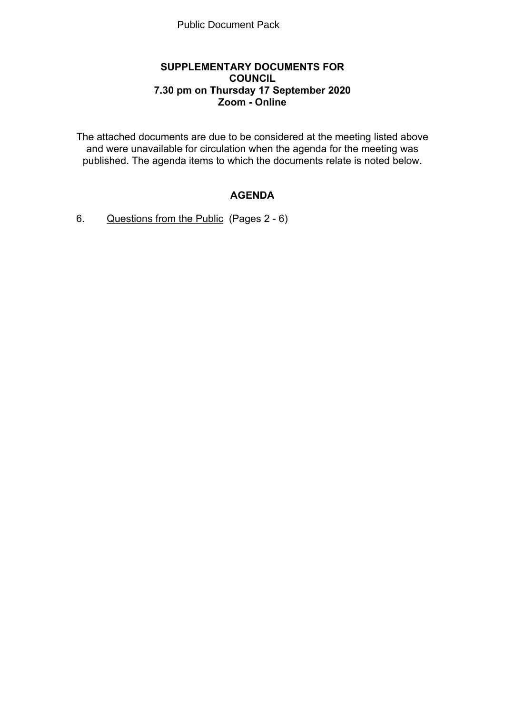### **SUPPLEMENTARY DOCUMENTS FOR COUNCIL 7.30 pm on Thursday 17 September 2020 Zoom - Online**

The attached documents are due to be considered at the meeting listed above and were unavailable for circulation when the agenda for the meeting was published. The agenda items to which the documents relate is noted below.

# **AGENDA**

6. Questions from the Public(Pages 2 - 6)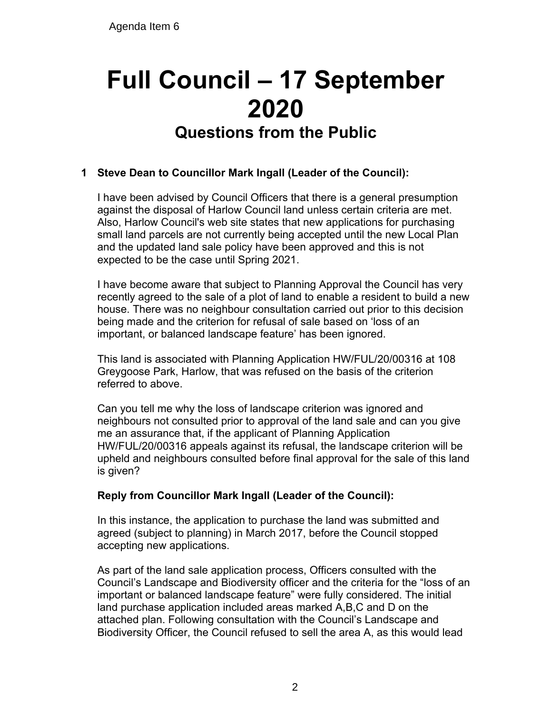# **Full Council – 17 September 2020 Questions from the Public**

## **1 Steve Dean to Councillor Mark Ingall (Leader of the Council):**

I have been advised by Council Officers that there is a general presumption against the disposal of Harlow Council land unless certain criteria are met. Also, Harlow Council's web site states that new applications for purchasing small land parcels are not currently being accepted until the new Local Plan and the updated land sale policy have been approved and this is not expected to be the case until Spring 2021.

I have become aware that subject to Planning Approval the Council has very recently agreed to the sale of a plot of land to enable a resident to build a new house. There was no neighbour consultation carried out prior to this decision being made and the criterion for refusal of sale based on 'loss of an important, or balanced landscape feature' has been ignored.

This land is associated with Planning Application HW/FUL/20/00316 at 108 Greygoose Park, Harlow, that was refused on the basis of the criterion referred to above.

Can you tell me why the loss of landscape criterion was ignored and neighbours not consulted prior to approval of the land sale and can you give me an assurance that, if the applicant of Planning Application HW/FUL/20/00316 appeals against its refusal, the landscape criterion will be upheld and neighbours consulted before final approval for the sale of this land is given?

#### **Reply from Councillor Mark Ingall (Leader of the Council):**

In this instance, the application to purchase the land was submitted and agreed (subject to planning) in March 2017, before the Council stopped accepting new applications.

As part of the land sale application process, Officers consulted with the Council's Landscape and Biodiversity officer and the criteria for the "loss of an important or balanced landscape feature" were fully considered. The initial land purchase application included areas marked A,B,C and D on the attached plan. Following consultation with the Council's Landscape and Biodiversity Officer, the Council refused to sell the area A, as this would lead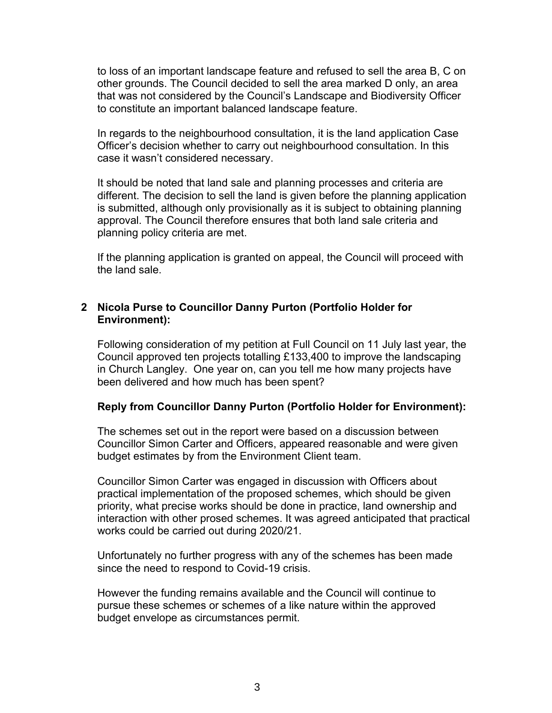to loss of an important landscape feature and refused to sell the area B, C on other grounds. The Council decided to sell the area marked D only, an area that was not considered by the Council's Landscape and Biodiversity Officer to constitute an important balanced landscape feature.

In regards to the neighbourhood consultation, it is the land application Case Officer's decision whether to carry out neighbourhood consultation. In this case it wasn't considered necessary.

It should be noted that land sale and planning processes and criteria are different. The decision to sell the land is given before the planning application is submitted, although only provisionally as it is subject to obtaining planning approval. The Council therefore ensures that both land sale criteria and planning policy criteria are met.

If the planning application is granted on appeal, the Council will proceed with the land sale.

#### **2 Nicola Purse to Councillor Danny Purton (Portfolio Holder for Environment):**

Following consideration of my petition at Full Council on 11 July last year, the Council approved ten projects totalling £133,400 to improve the landscaping in Church Langley. One year on, can you tell me how many projects have been delivered and how much has been spent?

#### **Reply from Councillor Danny Purton (Portfolio Holder for Environment):**

The schemes set out in the report were based on a discussion between Councillor Simon Carter and Officers, appeared reasonable and were given budget estimates by from the Environment Client team.

Councillor Simon Carter was engaged in discussion with Officers about practical implementation of the proposed schemes, which should be given priority, what precise works should be done in practice, land ownership and interaction with other prosed schemes. It was agreed anticipated that practical works could be carried out during 2020/21.

Unfortunately no further progress with any of the schemes has been made since the need to respond to Covid-19 crisis.

However the funding remains available and the Council will continue to pursue these schemes or schemes of a like nature within the approved budget envelope as circumstances permit.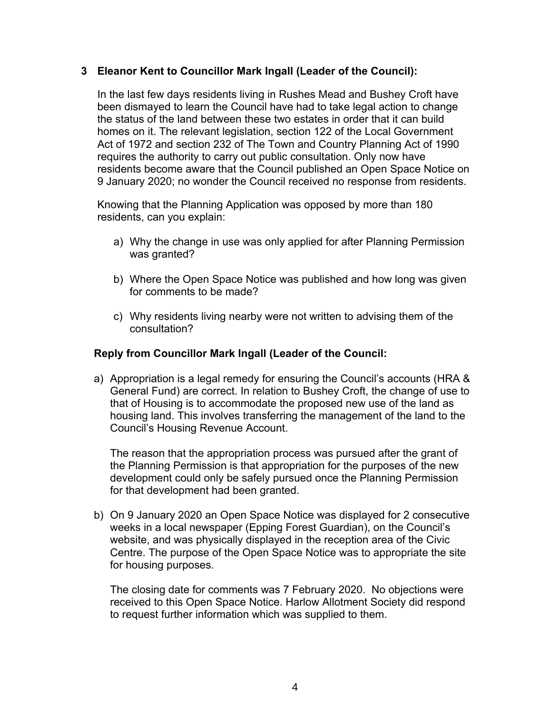#### **3 Eleanor Kent to Councillor Mark Ingall (Leader of the Council):**

In the last few days residents living in Rushes Mead and Bushey Croft have been dismayed to learn the Council have had to take legal action to change the status of the land between these two estates in order that it can build homes on it. The relevant legislation, section 122 of the Local Government Act of 1972 and section 232 of The Town and Country Planning Act of 1990 requires the authority to carry out public consultation. Only now have residents become aware that the Council published an Open Space Notice on 9 January 2020; no wonder the Council received no response from residents.

Knowing that the Planning Application was opposed by more than 180 residents, can you explain:

- a) Why the change in use was only applied for after Planning Permission was granted?
- b) Where the Open Space Notice was published and how long was given for comments to be made?
- c) Why residents living nearby were not written to advising them of the consultation?

#### **Reply from Councillor Mark Ingall (Leader of the Council:**

a) Appropriation is a legal remedy for ensuring the Council's accounts (HRA & General Fund) are correct. In relation to Bushey Croft, the change of use to that of Housing is to accommodate the proposed new use of the land as housing land. This involves transferring the management of the land to the Council's Housing Revenue Account.

The reason that the appropriation process was pursued after the grant of the Planning Permission is that appropriation for the purposes of the new development could only be safely pursued once the Planning Permission for that development had been granted.

b) On 9 January 2020 an Open Space Notice was displayed for 2 consecutive weeks in a local newspaper (Epping Forest Guardian), on the Council's website, and was physically displayed in the reception area of the Civic Centre. The purpose of the Open Space Notice was to appropriate the site for housing purposes.

The closing date for comments was 7 February 2020. No objections were received to this Open Space Notice. Harlow Allotment Society did respond to request further information which was supplied to them.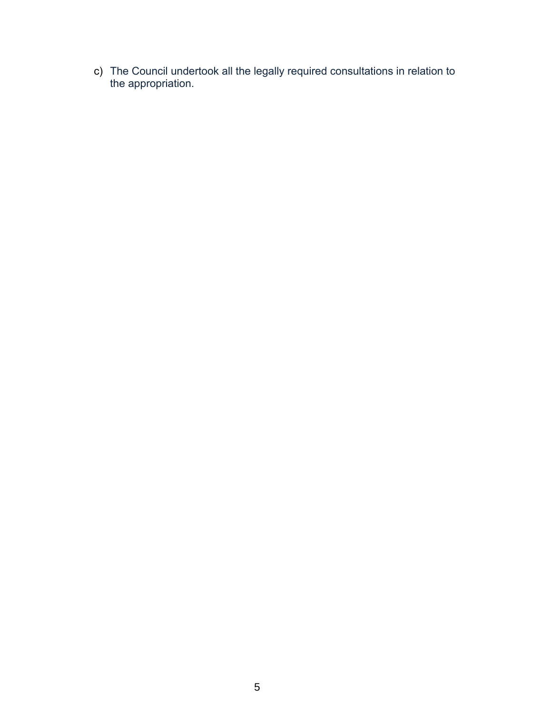c) The Council undertook all the legally required consultations in relation to the appropriation.